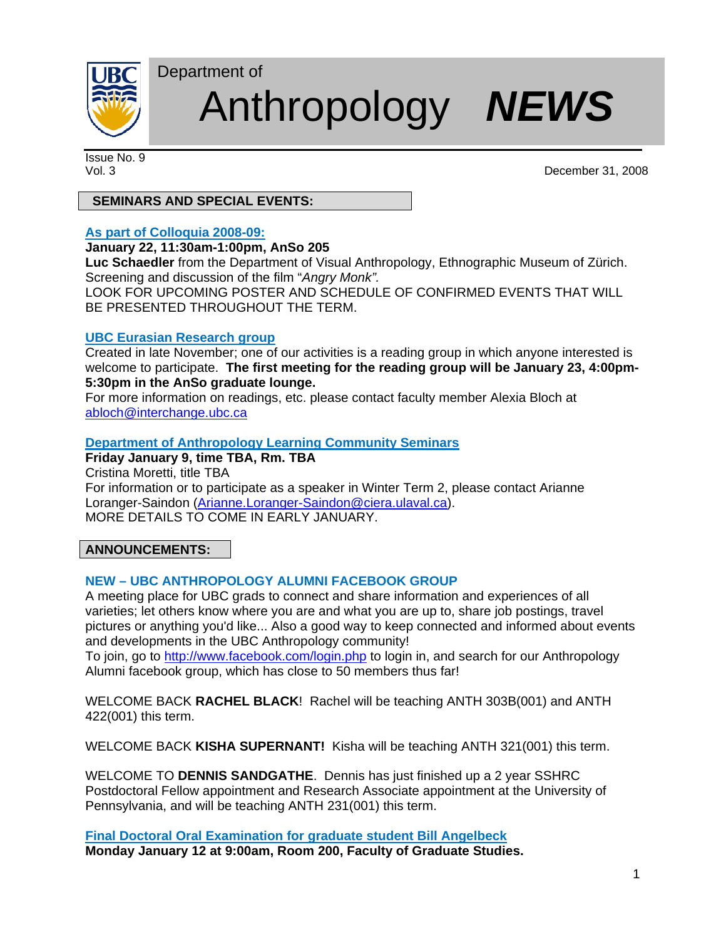

# Department of Anthropology *NEWS*

Issue No. 9

Vol. 3 December 31, 2008

## **SEMINARS AND SPECIAL EVENTS:**

# **As part of Colloquia 2008-09:**

# **January 22, 11:30am-1:00pm, AnSo 205**

**Luc Schaedler** from the Department of Visual Anthropology, Ethnographic Museum of Zürich. Screening and discussion of the film "*Angry Monk".* 

LOOK FOR UPCOMING POSTER AND SCHEDULE OF CONFIRMED EVENTS THAT WILL BE PRESENTED THROUGHOUT THE TERM.

# **UBC Eurasian Research group**

Created in late November; one of our activities is a reading group in which anyone interested is welcome to participate. **The first meeting for the reading group will be January 23, 4:00pm-5:30pm in the AnSo graduate lounge.** 

For more information on readings, etc. please contact faculty member Alexia Bloch at abloch@interchange.ubc.ca

## **Department of Anthropology Learning Community Seminars**

**Friday January 9, time TBA, Rm. TBA**  Cristina Moretti, title TBA For information or to participate as a speaker in Winter Term 2, please contact Arianne Loranger-Saindon (Arianne.Loranger-Saindon@ciera.ulaval.ca). MORE DETAILS TO COME IN EARLY JANUARY.

# **ANNOUNCEMENTS:**

# **NEW – UBC ANTHROPOLOGY ALUMNI FACEBOOK GROUP**

A meeting place for UBC grads to connect and share information and experiences of all varieties; let others know where you are and what you are up to, share job postings, travel pictures or anything you'd like... Also a good way to keep connected and informed about events and developments in the UBC Anthropology community!

To join, go to http://www.facebook.com/login.php to login in, and search for our Anthropology Alumni facebook group, which has close to 50 members thus far!

WELCOME BACK **RACHEL BLACK**! Rachel will be teaching ANTH 303B(001) and ANTH 422(001) this term.

WELCOME BACK **KISHA SUPERNANT!** Kisha will be teaching ANTH 321(001) this term.

WELCOME TO **DENNIS SANDGATHE**. Dennis has just finished up a 2 year SSHRC Postdoctoral Fellow appointment and Research Associate appointment at the University of Pennsylvania, and will be teaching ANTH 231(001) this term.

**Final Doctoral Oral Examination for graduate student Bill Angelbeck Monday January 12 at 9:00am, Room 200, Faculty of Graduate Studies.**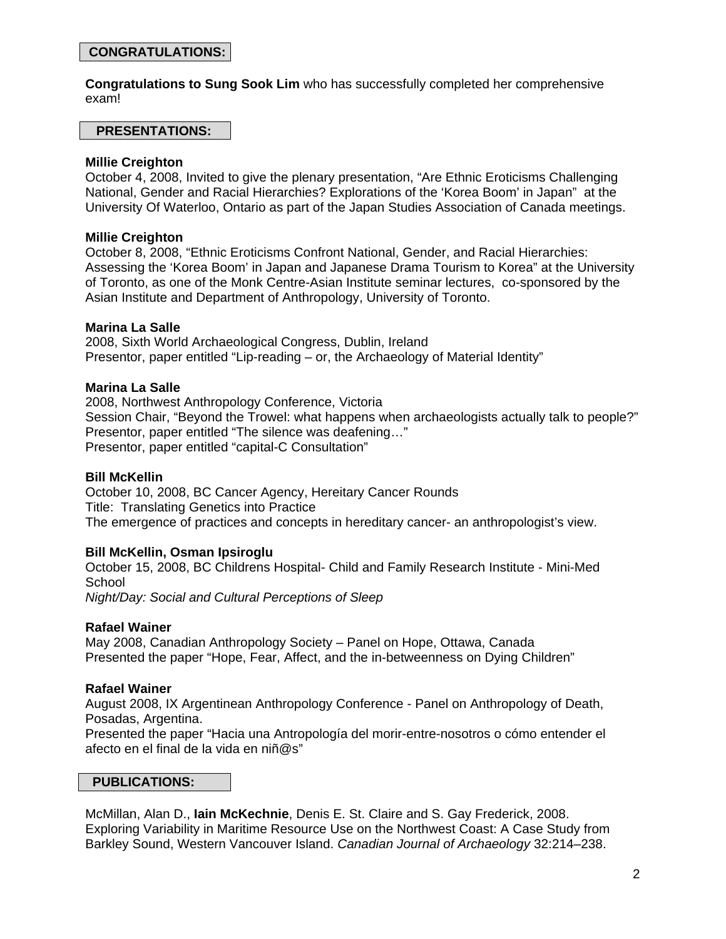## **CONGRATULATIONS:**

**Congratulations to Sung Sook Lim** who has successfully completed her comprehensive exam!

## **PRESENTATIONS:**

#### **Millie Creighton**

October 4, 2008, Invited to give the plenary presentation, "Are Ethnic Eroticisms Challenging National, Gender and Racial Hierarchies? Explorations of the 'Korea Boom' in Japan" at the University Of Waterloo, Ontario as part of the Japan Studies Association of Canada meetings.

#### **Millie Creighton**

October 8, 2008, "Ethnic Eroticisms Confront National, Gender, and Racial Hierarchies: Assessing the 'Korea Boom' in Japan and Japanese Drama Tourism to Korea" at the University of Toronto, as one of the Monk Centre-Asian Institute seminar lectures, co-sponsored by the Asian Institute and Department of Anthropology, University of Toronto.

#### **Marina La Salle**

2008, Sixth World Archaeological Congress, Dublin, Ireland Presentor, paper entitled "Lip-reading – or, the Archaeology of Material Identity"

#### **Marina La Salle**

2008, Northwest Anthropology Conference, Victoria Session Chair, "Beyond the Trowel: what happens when archaeologists actually talk to people?" Presentor, paper entitled "The silence was deafening…" Presentor, paper entitled "capital-C Consultation"

## **Bill McKellin**

October 10, 2008, BC Cancer Agency, Hereitary Cancer Rounds Title: Translating Genetics into Practice The emergence of practices and concepts in hereditary cancer- an anthropologist's view.

## **Bill McKellin, Osman Ipsiroglu**

October 15, 2008, BC Childrens Hospital- Child and Family Research Institute - Mini-Med **School** 

*Night/Day: Social and Cultural Perceptions of Sleep* 

#### **Rafael Wainer**

May 2008, Canadian Anthropology Society – Panel on Hope, Ottawa, Canada Presented the paper "Hope, Fear, Affect, and the in-betweenness on Dying Children"

## **Rafael Wainer**

August 2008, IX Argentinean Anthropology Conference - Panel on Anthropology of Death, Posadas, Argentina.

Presented the paper "Hacia una Antropología del morir-entre-nosotros o cómo entender el afecto en el final de la vida en niñ@s"

#### **PUBLICATIONS:**

McMillan, Alan D., **Iain McKechnie**, Denis E. St. Claire and S. Gay Frederick, 2008. Exploring Variability in Maritime Resource Use on the Northwest Coast: A Case Study from Barkley Sound, Western Vancouver Island. *Canadian Journal of Archaeology* 32:214–238.